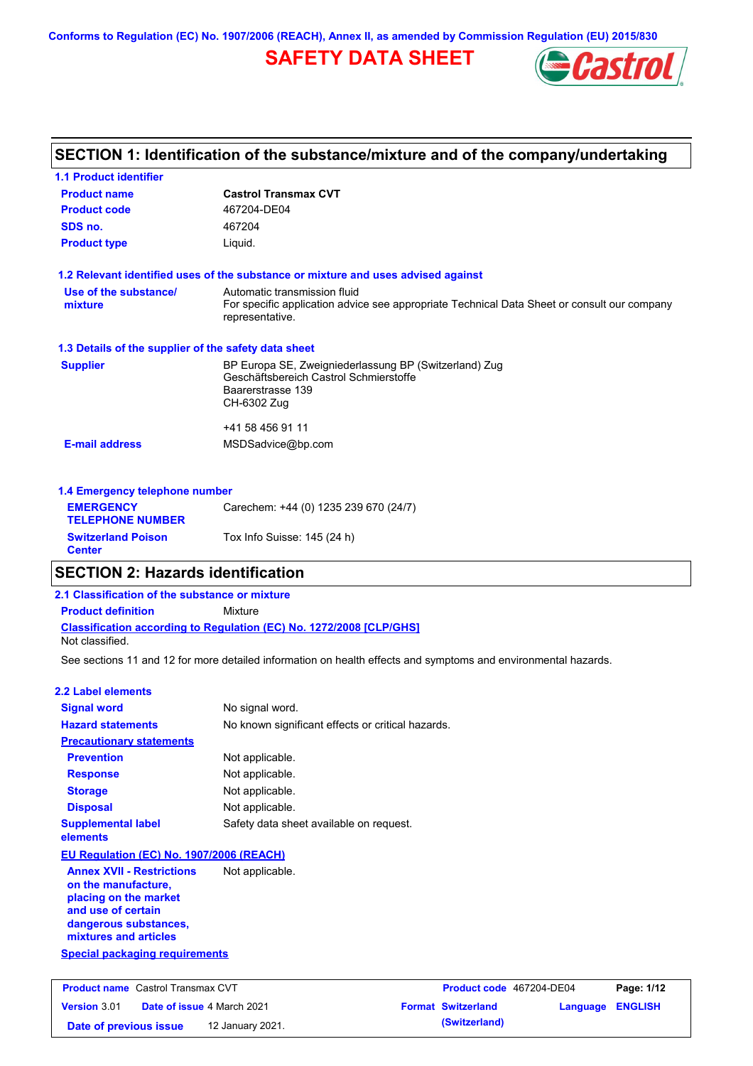**Conforms to Regulation (EC) No. 1907/2006 (REACH), Annex II, as amended by Commission Regulation (EU) 2015/830**

# **SAFETY DATA SHEET**



# **SECTION 1: Identification of the substance/mixture and of the company/undertaking**

| <b>1.1 Product identifier</b>                        |                                                                                                                |
|------------------------------------------------------|----------------------------------------------------------------------------------------------------------------|
| <b>Product name</b>                                  | <b>Castrol Transmax CVT</b>                                                                                    |
| <b>Product code</b>                                  | 467204-DE04                                                                                                    |
| SDS no.                                              | 467204                                                                                                         |
| <b>Product type</b>                                  | Liquid.                                                                                                        |
|                                                      | 1.2 Relevant identified uses of the substance or mixture and uses advised against                              |
| Use of the substance/                                | Automatic transmission fluid                                                                                   |
| mixture                                              | For specific application advice see appropriate Technical Data Sheet or consult our company<br>representative. |
| 1.3 Details of the supplier of the safety data sheet |                                                                                                                |
| <b>Supplier</b>                                      | BP Europa SE, Zweigniederlassung BP (Switzerland) Zug                                                          |
|                                                      | Geschäftsbereich Castrol Schmierstoffe<br>Baarerstrasse 139                                                    |
|                                                      | CH-6302 Zug                                                                                                    |
|                                                      | +41 58 456 91 11                                                                                               |
| <b>E-mail address</b>                                | MSDSadvice@bp.com                                                                                              |
| 1.4 Emergency telephone number                       |                                                                                                                |
| <b>EMERGENCY</b>                                     |                                                                                                                |
| <b>TELEPHONE NUMBER</b>                              | Carechem: +44 (0) 1235 239 670 (24/7)                                                                          |

## **SECTION 2: Hazards identification**

**Switzerland Poison Tox Info Suisse: 145 (24 h)** 

## **Classification according to Regulation (EC) No. 1272/2008 [CLP/GHS] 2.1 Classification of the substance or mixture Product definition** Mixture Not classified.

See sections 11 and 12 for more detailed information on health effects and symptoms and environmental hazards.

## **2.2 Label elements**

**Center**

| <b>Signal word</b>                                                                                                                                       | No signal word.                                   |
|----------------------------------------------------------------------------------------------------------------------------------------------------------|---------------------------------------------------|
| <b>Hazard statements</b>                                                                                                                                 | No known significant effects or critical hazards. |
| <b>Precautionary statements</b>                                                                                                                          |                                                   |
| <b>Prevention</b>                                                                                                                                        | Not applicable.                                   |
| <b>Response</b>                                                                                                                                          | Not applicable.                                   |
| <b>Storage</b>                                                                                                                                           | Not applicable.                                   |
| <b>Disposal</b>                                                                                                                                          | Not applicable.                                   |
| <b>Supplemental label</b><br>elements                                                                                                                    | Safety data sheet available on request.           |
| <b>EU Regulation (EC) No. 1907/2006 (REACH)</b>                                                                                                          |                                                   |
| <b>Annex XVII - Restrictions</b><br>on the manufacture,<br>placing on the market<br>and use of certain<br>dangerous substances,<br>mixtures and articles | Not applicable.                                   |
| Special packaging requirements                                                                                                                           |                                                   |

| <b>Product name</b> Castrol Transmax CVT |  | Product code 467204-DE04          |  | Page: 1/12                |                         |  |
|------------------------------------------|--|-----------------------------------|--|---------------------------|-------------------------|--|
| Version 3.01                             |  | <b>Date of issue 4 March 2021</b> |  | <b>Format Switzerland</b> | <b>Language ENGLISH</b> |  |
| Date of previous issue                   |  | 12 January 2021.                  |  | (Switzerland)             |                         |  |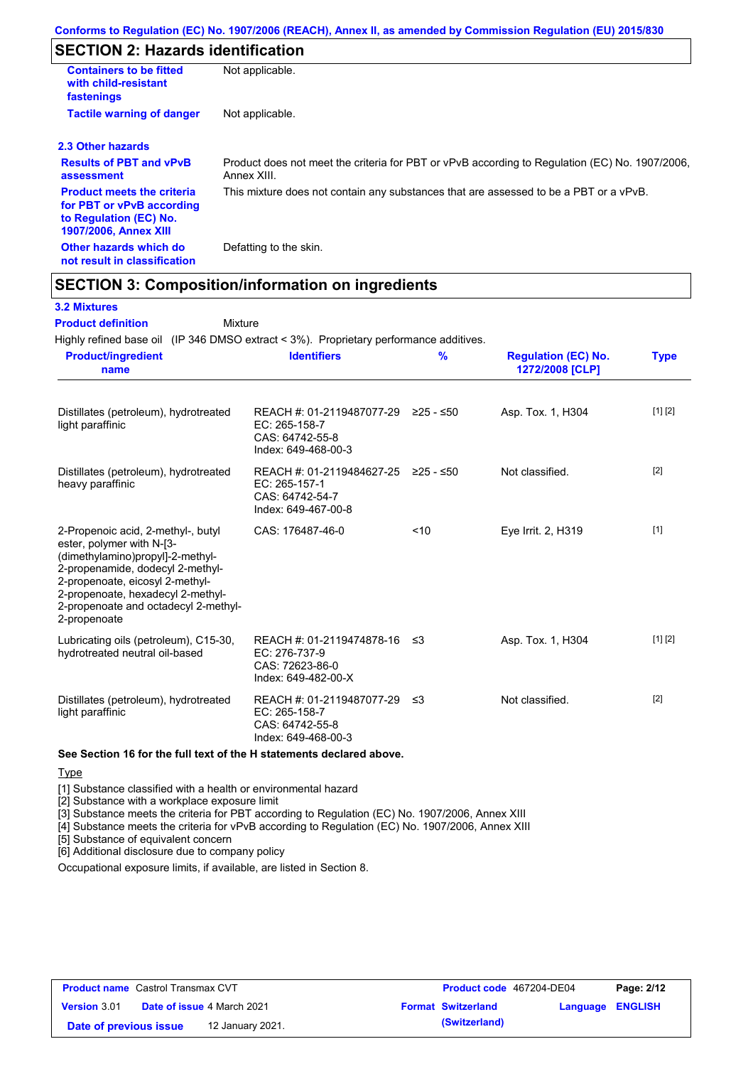# **SECTION 2: Hazards identification**

| <b>Containers to be fitted</b><br>with child-resistant<br>fastenings                                                     | Not applicable.                                                                                               |
|--------------------------------------------------------------------------------------------------------------------------|---------------------------------------------------------------------------------------------------------------|
| <b>Tactile warning of danger</b>                                                                                         | Not applicable.                                                                                               |
| 2.3 Other hazards                                                                                                        |                                                                                                               |
| <b>Results of PBT and vPvB</b><br>assessment                                                                             | Product does not meet the criteria for PBT or vPvB according to Regulation (EC) No. 1907/2006,<br>Annex XIII. |
| <b>Product meets the criteria</b><br>for PBT or vPvB according<br>to Regulation (EC) No.<br><b>1907/2006, Annex XIII</b> | This mixture does not contain any substances that are assessed to be a PBT or a vPvB.                         |
| Other hazards which do<br>not result in classification                                                                   | Defatting to the skin.                                                                                        |

# **SECTION 3: Composition/information on ingredients**

Mixture

### **3.2 Mixtures**

**Product definition**

Highly refined base oil (IP 346 DMSO extract < 3%). Proprietary performance additives.

| <b>Product/ingredient</b><br>name                                                                                                                                                                                                                                       | <b>Identifiers</b>                                                                               | $\frac{9}{6}$ | <b>Regulation (EC) No.</b><br>1272/2008 [CLP] | <b>Type</b> |
|-------------------------------------------------------------------------------------------------------------------------------------------------------------------------------------------------------------------------------------------------------------------------|--------------------------------------------------------------------------------------------------|---------------|-----------------------------------------------|-------------|
| Distillates (petroleum), hydrotreated<br>light paraffinic                                                                                                                                                                                                               | REACH #: 01-2119487077-29 ≥25 - ≤50<br>$EC: 265-158-7$<br>CAS: 64742-55-8<br>Index: 649-468-00-3 |               | Asp. Tox. 1, H304                             | [1] [2]     |
| Distillates (petroleum), hydrotreated<br>heavy paraffinic                                                                                                                                                                                                               | REACH #: 01-2119484627-25 ≥25 - ≤50<br>EC: 265-157-1<br>CAS: 64742-54-7<br>Index: 649-467-00-8   |               | Not classified.                               | $[2]$       |
| 2-Propenoic acid, 2-methyl-, butyl<br>ester, polymer with N-[3-<br>(dimethylamino)propyl]-2-methyl-<br>2-propenamide, dodecyl 2-methyl-<br>2-propenoate, eicosyl 2-methyl-<br>2-propenoate, hexadecyl 2-methyl-<br>2-propenoate and octadecyl 2-methyl-<br>2-propenoate | CAS: 176487-46-0                                                                                 | < 10          | Eye Irrit. 2, H319                            | $[1]$       |
| Lubricating oils (petroleum), C15-30,<br>hydrotreated neutral oil-based                                                                                                                                                                                                 | REACH #: 01-2119474878-16 ≤3<br>EC: 276-737-9<br>CAS: 72623-86-0<br>Index: 649-482-00-X          |               | Asp. Tox. 1, H304                             | [1] [2]     |
| Distillates (petroleum), hydrotreated<br>light paraffinic                                                                                                                                                                                                               | REACH #: 01-2119487077-29 ≤3<br>EC: 265-158-7<br>CAS: 64742-55-8<br>Index: 649-468-00-3          |               | Not classified.                               | $[2]$       |

**Type** 

[1] Substance classified with a health or environmental hazard

[2] Substance with a workplace exposure limit

[3] Substance meets the criteria for PBT according to Regulation (EC) No. 1907/2006, Annex XIII

[4] Substance meets the criteria for vPvB according to Regulation (EC) No. 1907/2006, Annex XIII

[5] Substance of equivalent concern

[6] Additional disclosure due to company policy

Occupational exposure limits, if available, are listed in Section 8.

| <b>Product name</b> Castrol Transmax CVT |  | Product code 467204-DE04          |  | Page: 2/12                |                  |  |
|------------------------------------------|--|-----------------------------------|--|---------------------------|------------------|--|
| <b>Version 3.01</b>                      |  | <b>Date of issue 4 March 2021</b> |  | <b>Format Switzerland</b> | Language ENGLISH |  |
| Date of previous issue                   |  | 12 January 2021.                  |  | (Switzerland)             |                  |  |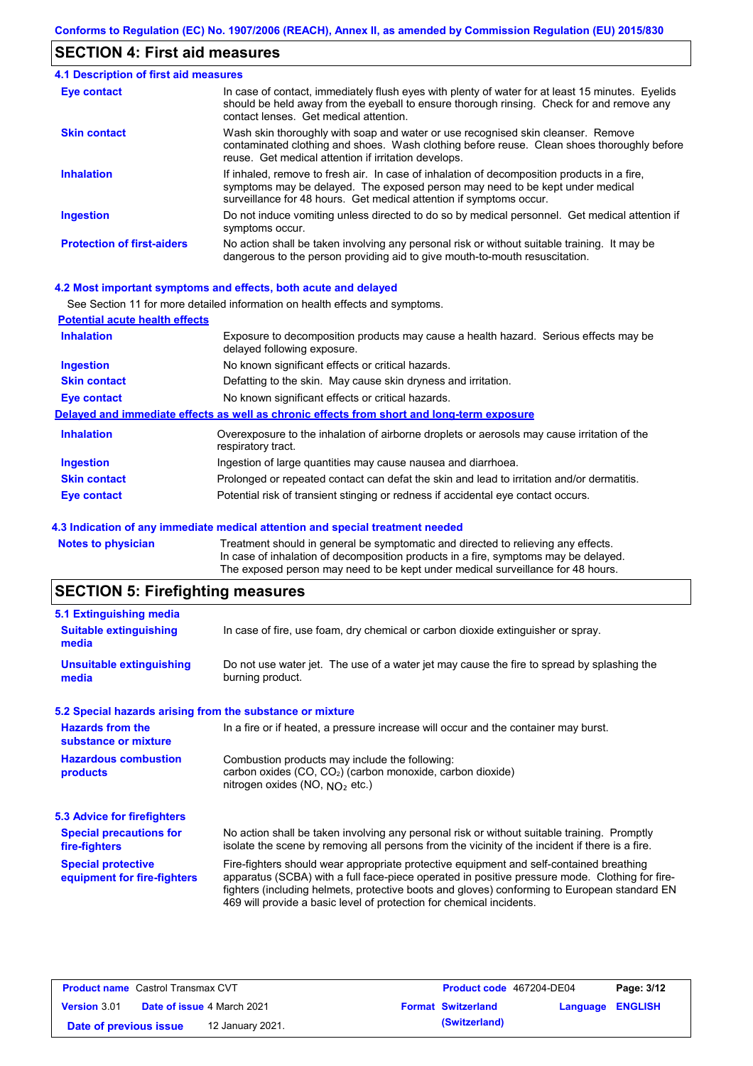## **SECTION 4: First aid measures**

#### Do not induce vomiting unless directed to do so by medical personnel. Get medical attention if symptoms occur. In case of contact, immediately flush eyes with plenty of water for at least 15 minutes. Eyelids should be held away from the eyeball to ensure thorough rinsing. Check for and remove any contact lenses. Get medical attention. **4.1 Description of first aid measures** If inhaled, remove to fresh air. In case of inhalation of decomposition products in a fire, symptoms may be delayed. The exposed person may need to be kept under medical surveillance for 48 hours. Get medical attention if symptoms occur. **Ingestion Inhalation Eye contact Protection of first-aiders** No action shall be taken involving any personal risk or without suitable training. It may be dangerous to the person providing aid to give mouth-to-mouth resuscitation. **Skin contact** Wash skin thoroughly with soap and water or use recognised skin cleanser. Remove contaminated clothing and shoes. Wash clothing before reuse. Clean shoes thoroughly before reuse. Get medical attention if irritation develops.

#### **4.2 Most important symptoms and effects, both acute and delayed**

|                                       | See Section 11 for more detailed information on health effects and symptoms.                                        |
|---------------------------------------|---------------------------------------------------------------------------------------------------------------------|
| <b>Potential acute health effects</b> |                                                                                                                     |
| <b>Inhalation</b>                     | Exposure to decomposition products may cause a health hazard. Serious effects may be<br>delayed following exposure. |
| <b>Ingestion</b>                      | No known significant effects or critical hazards.                                                                   |
| <b>Skin contact</b>                   | Defatting to the skin. May cause skin dryness and irritation.                                                       |
| Eye contact                           | No known significant effects or critical hazards.                                                                   |
|                                       | Delayed and immediate effects as well as chronic effects from short and long-term exposure                          |
| <b>Inhalation</b>                     | Overexposure to the inhalation of airborne droplets or aerosols may cause irritation of the<br>respiratory tract.   |
| <b>Ingestion</b>                      | Ingestion of large quantities may cause nausea and diarrhoea.                                                       |
| <b>Skin contact</b>                   | Prolonged or repeated contact can defat the skin and lead to irritation and/or dermatitis.                          |
| <b>Eye contact</b>                    | Potential risk of transient stinging or redness if accidental eye contact occurs.                                   |

#### **4.3 Indication of any immediate medical attention and special treatment needed**

| Notes to physician | Treatment should in general be symptomatic and directed to relieving any effects.   |
|--------------------|-------------------------------------------------------------------------------------|
|                    | In case of inhalation of decomposition products in a fire, symptoms may be delayed. |
|                    | The exposed person may need to be kept under medical surveillance for 48 hours.     |
|                    |                                                                                     |

# **SECTION 5: Firefighting measures**

| 5.1 Extinguishing media                                   |                                                                                                                                                                                                                                                                                                                                                                   |  |  |  |
|-----------------------------------------------------------|-------------------------------------------------------------------------------------------------------------------------------------------------------------------------------------------------------------------------------------------------------------------------------------------------------------------------------------------------------------------|--|--|--|
| <b>Suitable extinguishing</b><br>media                    | In case of fire, use foam, dry chemical or carbon dioxide extinguisher or spray.                                                                                                                                                                                                                                                                                  |  |  |  |
| <b>Unsuitable extinguishing</b><br>media                  | Do not use water jet. The use of a water jet may cause the fire to spread by splashing the<br>burning product.                                                                                                                                                                                                                                                    |  |  |  |
| 5.2 Special hazards arising from the substance or mixture |                                                                                                                                                                                                                                                                                                                                                                   |  |  |  |
| <b>Hazards from the</b><br>substance or mixture           | In a fire or if heated, a pressure increase will occur and the container may burst.                                                                                                                                                                                                                                                                               |  |  |  |
| <b>Hazardous combustion</b><br>products                   | Combustion products may include the following:<br>carbon oxides (CO, CO2) (carbon monoxide, carbon dioxide)<br>nitrogen oxides (NO, $NQ_2$ etc.)                                                                                                                                                                                                                  |  |  |  |
| 5.3 Advice for firefighters                               |                                                                                                                                                                                                                                                                                                                                                                   |  |  |  |
| <b>Special precautions for</b><br>fire-fighters           | No action shall be taken involving any personal risk or without suitable training. Promptly<br>isolate the scene by removing all persons from the vicinity of the incident if there is a fire.                                                                                                                                                                    |  |  |  |
| <b>Special protective</b><br>equipment for fire-fighters  | Fire-fighters should wear appropriate protective equipment and self-contained breathing<br>apparatus (SCBA) with a full face-piece operated in positive pressure mode. Clothing for fire-<br>fighters (including helmets, protective boots and gloves) conforming to European standard EN<br>469 will provide a basic level of protection for chemical incidents. |  |  |  |
|                                                           |                                                                                                                                                                                                                                                                                                                                                                   |  |  |  |

| <b>Product name</b> Castrol Transmax CVT |  | <b>Product code</b> 467204-DE04   |  | Page: 3/12                |                  |  |
|------------------------------------------|--|-----------------------------------|--|---------------------------|------------------|--|
| <b>Version 3.01</b>                      |  | <b>Date of issue 4 March 2021</b> |  | <b>Format Switzerland</b> | Language ENGLISH |  |
| Date of previous issue                   |  | 12 January 2021.                  |  | (Switzerland)             |                  |  |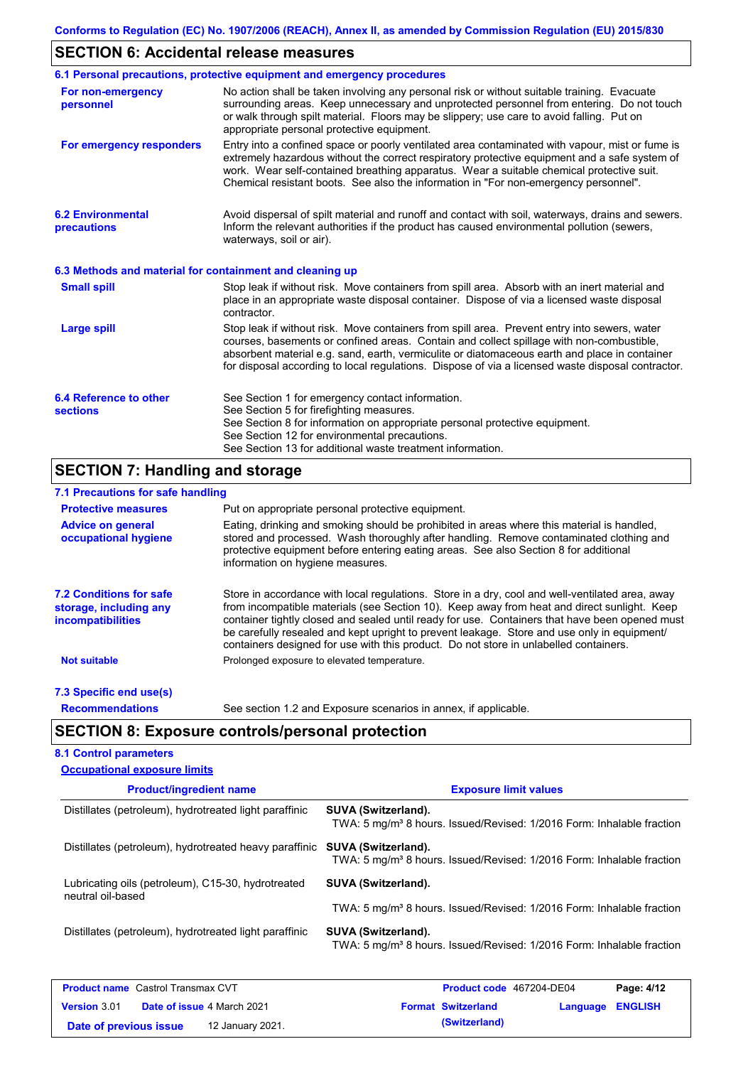# **SECTION 6: Accidental release measures**

|                                                          | 6.1 Personal precautions, protective equipment and emergency procedures                                                                                                                                                                                                                                                                                                                        |
|----------------------------------------------------------|------------------------------------------------------------------------------------------------------------------------------------------------------------------------------------------------------------------------------------------------------------------------------------------------------------------------------------------------------------------------------------------------|
| For non-emergency<br>personnel                           | No action shall be taken involving any personal risk or without suitable training. Evacuate<br>surrounding areas. Keep unnecessary and unprotected personnel from entering. Do not touch<br>or walk through spilt material. Floors may be slippery; use care to avoid falling. Put on<br>appropriate personal protective equipment.                                                            |
| For emergency responders                                 | Entry into a confined space or poorly ventilated area contaminated with vapour, mist or fume is<br>extremely hazardous without the correct respiratory protective equipment and a safe system of<br>work. Wear self-contained breathing apparatus. Wear a suitable chemical protective suit.<br>Chemical resistant boots. See also the information in "For non-emergency personnel".           |
| <b>6.2 Environmental</b><br>precautions                  | Avoid dispersal of spilt material and runoff and contact with soil, waterways, drains and sewers.<br>Inform the relevant authorities if the product has caused environmental pollution (sewers,<br>waterways, soil or air).                                                                                                                                                                    |
| 6.3 Methods and material for containment and cleaning up |                                                                                                                                                                                                                                                                                                                                                                                                |
| <b>Small spill</b>                                       | Stop leak if without risk. Move containers from spill area. Absorb with an inert material and<br>place in an appropriate waste disposal container. Dispose of via a licensed waste disposal<br>contractor.                                                                                                                                                                                     |
| <b>Large spill</b>                                       | Stop leak if without risk. Move containers from spill area. Prevent entry into sewers, water<br>courses, basements or confined areas. Contain and collect spillage with non-combustible,<br>absorbent material e.g. sand, earth, vermiculite or diatomaceous earth and place in container<br>for disposal according to local regulations. Dispose of via a licensed waste disposal contractor. |
| 6.4 Reference to other<br><b>sections</b>                | See Section 1 for emergency contact information.<br>See Section 5 for firefighting measures.<br>See Section 8 for information on appropriate personal protective equipment.<br>See Section 12 for environmental precautions.<br>See Section 13 for additional waste treatment information.                                                                                                     |

## **7.1 Precautions for safe handling**

| $1.111$ recadulution for safe handling                                               |                                                                                                                                                                                                                                                                                                                                                                                                                                                                                          |
|--------------------------------------------------------------------------------------|------------------------------------------------------------------------------------------------------------------------------------------------------------------------------------------------------------------------------------------------------------------------------------------------------------------------------------------------------------------------------------------------------------------------------------------------------------------------------------------|
| <b>Protective measures</b>                                                           | Put on appropriate personal protective equipment.                                                                                                                                                                                                                                                                                                                                                                                                                                        |
| <b>Advice on general</b><br>occupational hygiene                                     | Eating, drinking and smoking should be prohibited in areas where this material is handled.<br>stored and processed. Wash thoroughly after handling. Remove contaminated clothing and<br>protective equipment before entering eating areas. See also Section 8 for additional<br>information on hygiene measures.                                                                                                                                                                         |
| <b>7.2 Conditions for safe</b><br>storage, including any<br><i>incompatibilities</i> | Store in accordance with local regulations. Store in a dry, cool and well-ventilated area, away<br>from incompatible materials (see Section 10). Keep away from heat and direct sunlight. Keep<br>container tightly closed and sealed until ready for use. Containers that have been opened must<br>be carefully resealed and kept upright to prevent leakage. Store and use only in equipment/<br>containers designed for use with this product. Do not store in unlabelled containers. |
| <b>Not suitable</b>                                                                  | Prolonged exposure to elevated temperature.                                                                                                                                                                                                                                                                                                                                                                                                                                              |
| 7.3 Specific end use(s)                                                              |                                                                                                                                                                                                                                                                                                                                                                                                                                                                                          |
| <b>Recommendations</b>                                                               | See section 1.2 and Exposure scenarios in annex, if applicable.                                                                                                                                                                                                                                                                                                                                                                                                                          |

# **SECTION 8: Exposure controls/personal protection**

**Date of previous issue 12 January 2021. (Switzerland) (Switzerland)** 

|  | <b>8.1 Control parameters</b>       |  |
|--|-------------------------------------|--|
|  | <b>Occupational exposure limits</b> |  |

| <b>Product/ingredient name</b>                                          | <b>Exposure limit values</b>                                                                                    |  |  |  |
|-------------------------------------------------------------------------|-----------------------------------------------------------------------------------------------------------------|--|--|--|
| Distillates (petroleum), hydrotreated light paraffinic                  | <b>SUVA (Switzerland).</b><br>TWA: 5 mg/m <sup>3</sup> 8 hours. Issued/Revised: 1/2016 Form: Inhalable fraction |  |  |  |
| Distillates (petroleum), hydrotreated heavy paraffinic                  | SUVA (Switzerland).<br>TWA: 5 mg/m <sup>3</sup> 8 hours. Issued/Revised: 1/2016 Form: Inhalable fraction        |  |  |  |
| Lubricating oils (petroleum), C15-30, hydrotreated<br>neutral oil-based | SUVA (Switzerland).                                                                                             |  |  |  |
|                                                                         | TWA: 5 mg/m <sup>3</sup> 8 hours. Issued/Revised: 1/2016 Form: Inhalable fraction                               |  |  |  |
| Distillates (petroleum), hydrotreated light paraffinic                  | SUVA (Switzerland).<br>TWA: 5 mg/m <sup>3</sup> 8 hours. Issued/Revised: 1/2016 Form: Inhalable fraction        |  |  |  |
| <b>Product name</b> Castrol Transmax CVT                                | Page: 4/12<br><b>Product code</b> 467204-DE04                                                                   |  |  |  |
| <b>Version 3.01</b><br><b>Date of issue 4 March 2021</b>                | <b>ENGLISH</b><br><b>Format Switzerland</b><br>Language                                                         |  |  |  |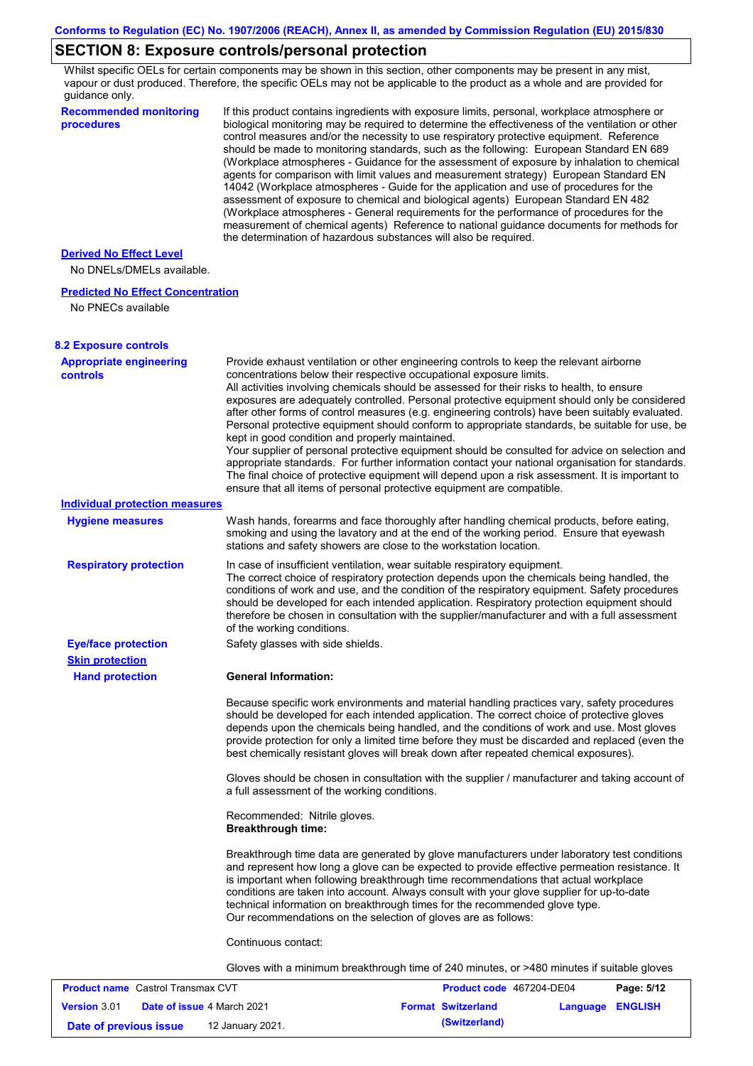# **SECTION 8: Exposure controls/personal protection**

Whilst specific OELs for certain components may be shown in this section, other components may be present in any mist, vapour or dust produced. Therefore, the specific OELs may not be applicable to the product as a whole and are provided for guidance only.

| <b>Recommended monitoring</b><br>procedures       | If this product contains ingredients with exposure limits, personal, workplace atmosphere or<br>biological monitoring may be required to determine the effectiveness of the ventilation or other<br>control measures and/or the necessity to use respiratory protective equipment. Reference<br>should be made to monitoring standards, such as the following: European Standard EN 689<br>(Workplace atmospheres - Guidance for the assessment of exposure by inhalation to chemical<br>agents for comparison with limit values and measurement strategy) European Standard EN<br>14042 (Workplace atmospheres - Guide for the application and use of procedures for the<br>assessment of exposure to chemical and biological agents) European Standard EN 482<br>(Workplace atmospheres - General requirements for the performance of procedures for the<br>measurement of chemical agents) Reference to national guidance documents for methods for<br>the determination of hazardous substances will also be required. |
|---------------------------------------------------|----------------------------------------------------------------------------------------------------------------------------------------------------------------------------------------------------------------------------------------------------------------------------------------------------------------------------------------------------------------------------------------------------------------------------------------------------------------------------------------------------------------------------------------------------------------------------------------------------------------------------------------------------------------------------------------------------------------------------------------------------------------------------------------------------------------------------------------------------------------------------------------------------------------------------------------------------------------------------------------------------------------------------|
| <b>Derived No Effect Level</b>                    |                                                                                                                                                                                                                                                                                                                                                                                                                                                                                                                                                                                                                                                                                                                                                                                                                                                                                                                                                                                                                            |
| No DNELs/DMELs available.                         |                                                                                                                                                                                                                                                                                                                                                                                                                                                                                                                                                                                                                                                                                                                                                                                                                                                                                                                                                                                                                            |
| <b>Predicted No Effect Concentration</b>          |                                                                                                                                                                                                                                                                                                                                                                                                                                                                                                                                                                                                                                                                                                                                                                                                                                                                                                                                                                                                                            |
| No PNECs available                                |                                                                                                                                                                                                                                                                                                                                                                                                                                                                                                                                                                                                                                                                                                                                                                                                                                                                                                                                                                                                                            |
| <b>8.2 Exposure controls</b>                      |                                                                                                                                                                                                                                                                                                                                                                                                                                                                                                                                                                                                                                                                                                                                                                                                                                                                                                                                                                                                                            |
| <b>Appropriate engineering</b><br><b>controls</b> | Provide exhaust ventilation or other engineering controls to keep the relevant airborne<br>concentrations below their respective occupational exposure limits.<br>All activities involving chemicals should be assessed for their risks to health, to ensure<br>exposures are adequately controlled. Personal protective equipment should only be considered<br>after other forms of control measures (e.g. engineering controls) have been suitably evaluated.<br>Personal protective equipment should conform to appropriate standards, be suitable for use, be<br>kept in good condition and properly maintained.<br>Your supplier of personal protective equipment should be consulted for advice on selection and<br>appropriate standards. For further information contact your national organisation for standards.<br>The final choice of protective equipment will depend upon a risk assessment. It is important to<br>ensure that all items of personal protective equipment are compatible.                    |
| <b>Individual protection measures</b>             |                                                                                                                                                                                                                                                                                                                                                                                                                                                                                                                                                                                                                                                                                                                                                                                                                                                                                                                                                                                                                            |
| <b>Hygiene measures</b>                           | Wash hands, forearms and face thoroughly after handling chemical products, before eating,<br>smoking and using the lavatory and at the end of the working period. Ensure that eyewash<br>stations and safety showers are close to the workstation location.                                                                                                                                                                                                                                                                                                                                                                                                                                                                                                                                                                                                                                                                                                                                                                |
| <b>Respiratory protection</b>                     | In case of insufficient ventilation, wear suitable respiratory equipment.<br>The correct choice of respiratory protection depends upon the chemicals being handled, the<br>conditions of work and use, and the condition of the respiratory equipment. Safety procedures<br>should be developed for each intended application. Respiratory protection equipment should<br>therefore be chosen in consultation with the supplier/manufacturer and with a full assessment<br>of the working conditions.                                                                                                                                                                                                                                                                                                                                                                                                                                                                                                                      |
| <b>Eye/face protection</b>                        | Safety glasses with side shields.                                                                                                                                                                                                                                                                                                                                                                                                                                                                                                                                                                                                                                                                                                                                                                                                                                                                                                                                                                                          |
| <b>Skin protection</b>                            |                                                                                                                                                                                                                                                                                                                                                                                                                                                                                                                                                                                                                                                                                                                                                                                                                                                                                                                                                                                                                            |
| <b>Hand protection</b>                            | <b>General Information:</b>                                                                                                                                                                                                                                                                                                                                                                                                                                                                                                                                                                                                                                                                                                                                                                                                                                                                                                                                                                                                |
|                                                   | Because specific work environments and material handling practices vary, safety procedures<br>should be developed for each intended application. The correct choice of protective gloves<br>depends upon the chemicals being handled, and the conditions of work and use. Most gloves<br>provide protection for only a limited time before they must be discarded and replaced (even the<br>best chemically resistant gloves will break down after repeated chemical exposures).                                                                                                                                                                                                                                                                                                                                                                                                                                                                                                                                           |
|                                                   | Gloves should be chosen in consultation with the supplier / manufacturer and taking account of<br>a full assessment of the working conditions.                                                                                                                                                                                                                                                                                                                                                                                                                                                                                                                                                                                                                                                                                                                                                                                                                                                                             |
|                                                   | Recommended: Nitrile gloves.<br><b>Breakthrough time:</b>                                                                                                                                                                                                                                                                                                                                                                                                                                                                                                                                                                                                                                                                                                                                                                                                                                                                                                                                                                  |
|                                                   | Breakthrough time data are generated by glove manufacturers under laboratory test conditions<br>and represent how long a glove can be expected to provide effective permeation resistance. It<br>is important when following breakthrough time recommendations that actual workplace<br>conditions are taken into account. Always consult with your glove supplier for up-to-date<br>technical information on breakthrough times for the recommended glove type.<br>Our recommendations on the selection of gloves are as follows:                                                                                                                                                                                                                                                                                                                                                                                                                                                                                         |
|                                                   | Continuous contact:                                                                                                                                                                                                                                                                                                                                                                                                                                                                                                                                                                                                                                                                                                                                                                                                                                                                                                                                                                                                        |
|                                                   | Gloves with a minimum breakthrough time of 240 minutes, or >480 minutes if suitable gloves                                                                                                                                                                                                                                                                                                                                                                                                                                                                                                                                                                                                                                                                                                                                                                                                                                                                                                                                 |
| <b>Product name</b> Castrol Transmay CVT          | Panc: 5/12<br><b>Product code</b> 467204-DE04                                                                                                                                                                                                                                                                                                                                                                                                                                                                                                                                                                                                                                                                                                                                                                                                                                                                                                                                                                              |

| <b>Product name</b> Castrol Transmax CVT |  |                                   | <b>Product code</b> 467204-DE04 | Page: 5/12       |  |
|------------------------------------------|--|-----------------------------------|---------------------------------|------------------|--|
| <b>Version 3.01</b>                      |  | <b>Date of issue 4 March 2021</b> | <b>Format Switzerland</b>       | Language ENGLISH |  |
| Date of previous issue                   |  | 12 January 2021.                  | (Switzerland)                   |                  |  |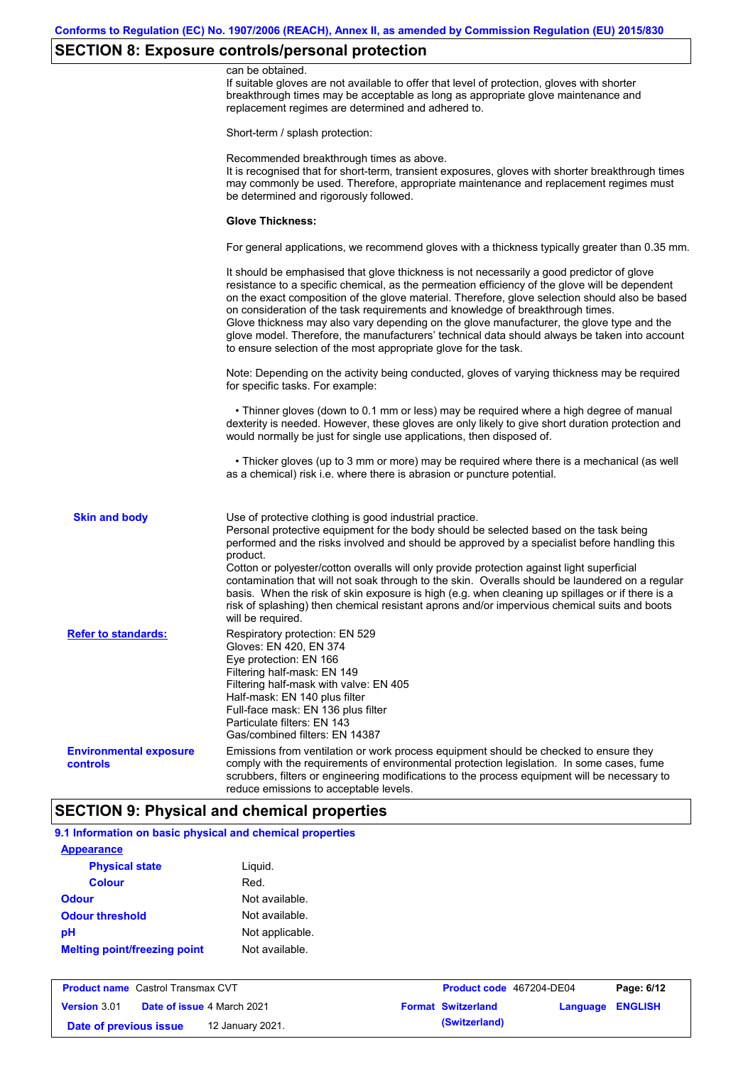# **SECTION 8: Exposure controls/personal protection**

|                                           | can be obtained.<br>If suitable gloves are not available to offer that level of protection, gloves with shorter<br>breakthrough times may be acceptable as long as appropriate glove maintenance and<br>replacement regimes are determined and adhered to.                                                                                                                                                                                                                                                                                                                                                                                                                            |
|-------------------------------------------|---------------------------------------------------------------------------------------------------------------------------------------------------------------------------------------------------------------------------------------------------------------------------------------------------------------------------------------------------------------------------------------------------------------------------------------------------------------------------------------------------------------------------------------------------------------------------------------------------------------------------------------------------------------------------------------|
|                                           | Short-term / splash protection:                                                                                                                                                                                                                                                                                                                                                                                                                                                                                                                                                                                                                                                       |
|                                           | Recommended breakthrough times as above.<br>It is recognised that for short-term, transient exposures, gloves with shorter breakthrough times<br>may commonly be used. Therefore, appropriate maintenance and replacement regimes must<br>be determined and rigorously followed.                                                                                                                                                                                                                                                                                                                                                                                                      |
|                                           | <b>Glove Thickness:</b>                                                                                                                                                                                                                                                                                                                                                                                                                                                                                                                                                                                                                                                               |
|                                           | For general applications, we recommend gloves with a thickness typically greater than 0.35 mm.                                                                                                                                                                                                                                                                                                                                                                                                                                                                                                                                                                                        |
|                                           | It should be emphasised that glove thickness is not necessarily a good predictor of glove<br>resistance to a specific chemical, as the permeation efficiency of the glove will be dependent<br>on the exact composition of the glove material. Therefore, glove selection should also be based<br>on consideration of the task requirements and knowledge of breakthrough times.<br>Glove thickness may also vary depending on the glove manufacturer, the glove type and the<br>glove model. Therefore, the manufacturers' technical data should always be taken into account<br>to ensure selection of the most appropriate glove for the task.                                     |
|                                           | Note: Depending on the activity being conducted, gloves of varying thickness may be required<br>for specific tasks. For example:                                                                                                                                                                                                                                                                                                                                                                                                                                                                                                                                                      |
|                                           | • Thinner gloves (down to 0.1 mm or less) may be required where a high degree of manual<br>dexterity is needed. However, these gloves are only likely to give short duration protection and<br>would normally be just for single use applications, then disposed of.                                                                                                                                                                                                                                                                                                                                                                                                                  |
|                                           | • Thicker gloves (up to 3 mm or more) may be required where there is a mechanical (as well<br>as a chemical) risk i.e. where there is abrasion or puncture potential.                                                                                                                                                                                                                                                                                                                                                                                                                                                                                                                 |
| <b>Skin and body</b>                      | Use of protective clothing is good industrial practice.<br>Personal protective equipment for the body should be selected based on the task being<br>performed and the risks involved and should be approved by a specialist before handling this<br>product.<br>Cotton or polyester/cotton overalls will only provide protection against light superficial<br>contamination that will not soak through to the skin. Overalls should be laundered on a regular<br>basis. When the risk of skin exposure is high (e.g. when cleaning up spillages or if there is a<br>risk of splashing) then chemical resistant aprons and/or impervious chemical suits and boots<br>will be required. |
| <b>Refer to standards:</b>                | Respiratory protection: EN 529<br>Gloves: EN 420, EN 374<br>Eye protection: EN 166<br>Filtering half-mask: EN 149<br>Filtering half-mask with valve: EN 405<br>Half-mask: EN 140 plus filter<br>Full-face mask: EN 136 plus filter<br>Particulate filters: EN 143<br>Gas/combined filters: EN 14387                                                                                                                                                                                                                                                                                                                                                                                   |
| <b>Environmental exposure</b><br>controls | Emissions from ventilation or work process equipment should be checked to ensure they<br>comply with the requirements of environmental protection legislation. In some cases, fume<br>scrubbers, filters or engineering modifications to the process equipment will be necessary to<br>reduce emissions to acceptable levels.                                                                                                                                                                                                                                                                                                                                                         |

## **SECTION 9: Physical and chemical properties**

| 9.1 Information on basic physical and chemical properties |                 |  |  |
|-----------------------------------------------------------|-----------------|--|--|
| <b>Appearance</b>                                         |                 |  |  |
| <b>Physical state</b>                                     | Liguid.         |  |  |
| <b>Colour</b>                                             | Red.            |  |  |
| Odour                                                     | Not available.  |  |  |
| <b>Odour threshold</b>                                    | Not available.  |  |  |
| pН                                                        | Not applicable. |  |  |
| <b>Melting point/freezing point</b>                       | Not available.  |  |  |

| <b>Product name</b> Castrol Transmax CVT |  | Product code 467204-DE04          |                           | Page: 6/12              |  |
|------------------------------------------|--|-----------------------------------|---------------------------|-------------------------|--|
| <b>Version 3.01</b>                      |  | <b>Date of issue 4 March 2021</b> | <b>Format Switzerland</b> | <b>Language ENGLISH</b> |  |
| Date of previous issue                   |  | 12 January 2021.                  | (Switzerland)             |                         |  |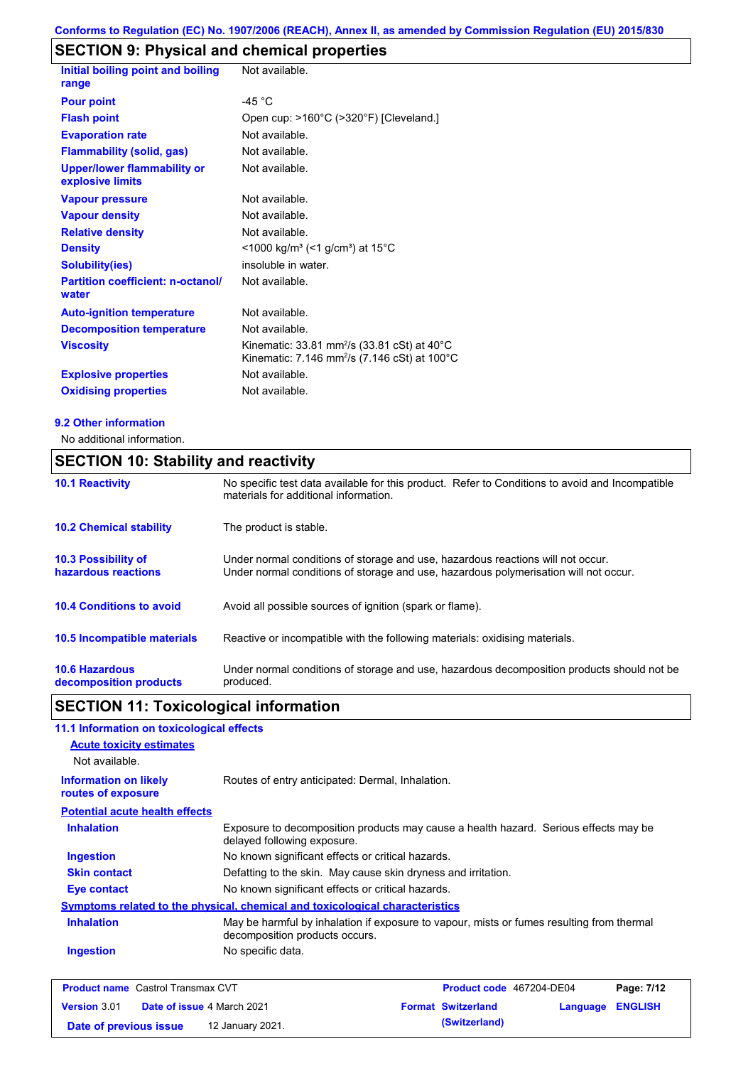# **SECTION 9: Physical and chemical properties**

| Initial boiling point and boiling                      | Not available.                                                                                                                           |
|--------------------------------------------------------|------------------------------------------------------------------------------------------------------------------------------------------|
| range                                                  |                                                                                                                                          |
| <b>Pour point</b>                                      | -45 $^{\circ}$ C                                                                                                                         |
| <b>Flash point</b>                                     | Open cup: >160°C (>320°F) [Cleveland.]                                                                                                   |
| <b>Evaporation rate</b>                                | Not available.                                                                                                                           |
| <b>Flammability (solid, gas)</b>                       | Not available.                                                                                                                           |
| <b>Upper/lower flammability or</b><br>explosive limits | Not available.                                                                                                                           |
| <b>Vapour pressure</b>                                 | Not available.                                                                                                                           |
| <b>Vapour density</b>                                  | Not available.                                                                                                                           |
| <b>Relative density</b>                                | Not available.                                                                                                                           |
| <b>Density</b>                                         | $\leq$ 1000 kg/m <sup>3</sup> (<1 g/cm <sup>3</sup> ) at 15 <sup>°</sup> C                                                               |
| <b>Solubility(ies)</b>                                 | insoluble in water.                                                                                                                      |
| <b>Partition coefficient: n-octanol/</b><br>water      | Not available.                                                                                                                           |
| <b>Auto-ignition temperature</b>                       | Not available.                                                                                                                           |
| <b>Decomposition temperature</b>                       | Not available.                                                                                                                           |
| <b>Viscosity</b>                                       | Kinematic: 33.81 mm <sup>2</sup> /s (33.81 cSt) at $40^{\circ}$ C<br>Kinematic: 7.146 mm <sup>2</sup> /s (7.146 cSt) at 100 $^{\circ}$ C |
| <b>Explosive properties</b>                            | Not available.                                                                                                                           |
| <b>Oxidising properties</b>                            | Not available.                                                                                                                           |

#### **9.2 Other information**

No additional information.

# **SECTION 10: Stability and reactivity**

| <b>10.1 Reactivity</b>                            | No specific test data available for this product. Refer to Conditions to avoid and Incompatible<br>materials for additional information.                                |  |
|---------------------------------------------------|-------------------------------------------------------------------------------------------------------------------------------------------------------------------------|--|
| <b>10.2 Chemical stability</b>                    | The product is stable.                                                                                                                                                  |  |
| <b>10.3 Possibility of</b><br>hazardous reactions | Under normal conditions of storage and use, hazardous reactions will not occur.<br>Under normal conditions of storage and use, hazardous polymerisation will not occur. |  |
| <b>10.4 Conditions to avoid</b>                   | Avoid all possible sources of ignition (spark or flame).                                                                                                                |  |
| <b>10.5 Incompatible materials</b>                | Reactive or incompatible with the following materials: oxidising materials.                                                                                             |  |
| <b>10.6 Hazardous</b><br>decomposition products   | Under normal conditions of storage and use, hazardous decomposition products should not be<br>produced.                                                                 |  |

# **SECTION 11: Toxicological information**

| 11.1 Information on toxicological effects          |                                                                                                                             |
|----------------------------------------------------|-----------------------------------------------------------------------------------------------------------------------------|
| <b>Acute toxicity estimates</b>                    |                                                                                                                             |
| Not available.                                     |                                                                                                                             |
| <b>Information on likely</b><br>routes of exposure | Routes of entry anticipated: Dermal, Inhalation.                                                                            |
| <b>Potential acute health effects</b>              |                                                                                                                             |
| <b>Inhalation</b>                                  | Exposure to decomposition products may cause a health hazard. Serious effects may be<br>delayed following exposure.         |
| <b>Ingestion</b>                                   | No known significant effects or critical hazards.                                                                           |
| <b>Skin contact</b>                                | Defatting to the skin. May cause skin dryness and irritation.                                                               |
| Eye contact                                        | No known significant effects or critical hazards.                                                                           |
|                                                    | Symptoms related to the physical, chemical and toxicological characteristics                                                |
| <b>Inhalation</b>                                  | May be harmful by inhalation if exposure to vapour, mists or fumes resulting from thermal<br>decomposition products occurs. |
| <b>Ingestion</b>                                   | No specific data.                                                                                                           |
|                                                    |                                                                                                                             |

| <b>Product name</b> Castrol Transmax CVT |                                   | <b>Product code</b> 467204-DE04 |  | Page: 7/12                |                         |  |
|------------------------------------------|-----------------------------------|---------------------------------|--|---------------------------|-------------------------|--|
| <b>Version 3.01</b>                      | <b>Date of issue 4 March 2021</b> |                                 |  | <b>Format Switzerland</b> | <b>Language ENGLISH</b> |  |
| Date of previous issue                   |                                   | 12 January 2021.                |  | (Switzerland)             |                         |  |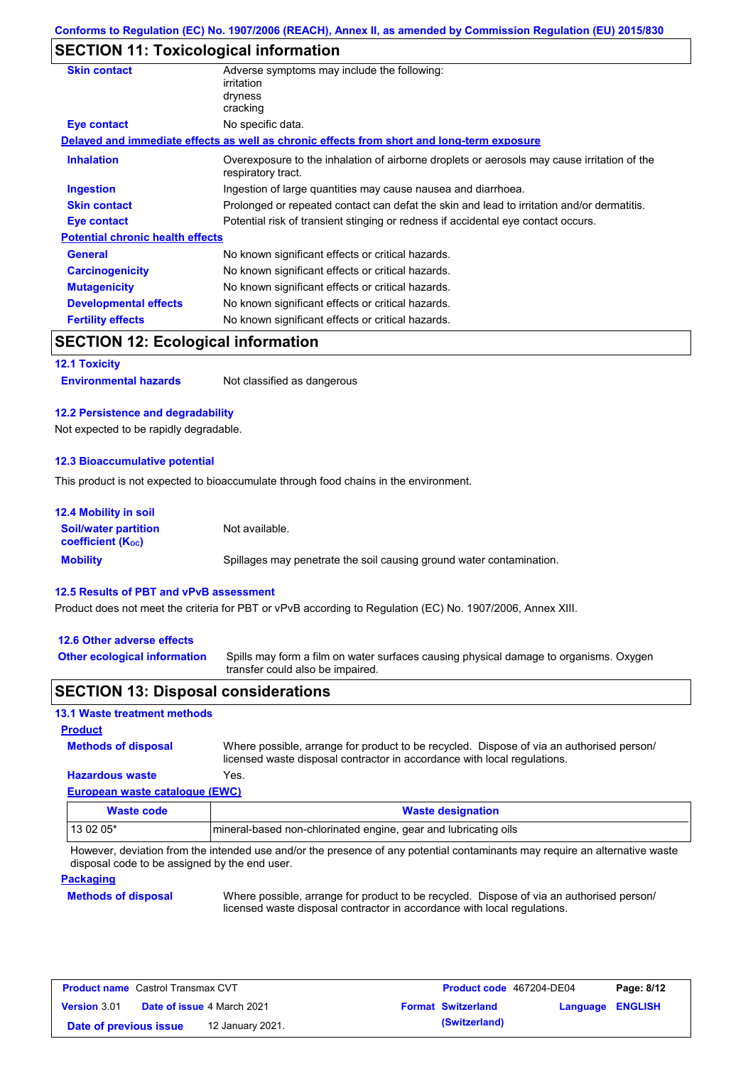# **SECTION 11: Toxicological information**

| <b>Skin contact</b>                     | Adverse symptoms may include the following:<br>irritation<br>dryness<br>cracking                                  |  |
|-----------------------------------------|-------------------------------------------------------------------------------------------------------------------|--|
| Eye contact                             | No specific data.                                                                                                 |  |
|                                         | Delayed and immediate effects as well as chronic effects from short and long-term exposure                        |  |
| <b>Inhalation</b>                       | Overexposure to the inhalation of airborne droplets or aerosols may cause irritation of the<br>respiratory tract. |  |
| <b>Ingestion</b>                        | Ingestion of large quantities may cause nausea and diarrhoea.                                                     |  |
| <b>Skin contact</b>                     | Prolonged or repeated contact can defat the skin and lead to irritation and/or dermatitis.                        |  |
| Eye contact                             | Potential risk of transient stinging or redness if accidental eye contact occurs.                                 |  |
| <b>Potential chronic health effects</b> |                                                                                                                   |  |
| <b>General</b>                          | No known significant effects or critical hazards.                                                                 |  |
| <b>Carcinogenicity</b>                  | No known significant effects or critical hazards.                                                                 |  |
| <b>Mutagenicity</b>                     | No known significant effects or critical hazards.                                                                 |  |
| <b>Developmental effects</b>            | No known significant effects or critical hazards.                                                                 |  |
| <b>Fertility effects</b>                | No known significant effects or critical hazards.                                                                 |  |
|                                         |                                                                                                                   |  |

## **SECTION 12: Ecological information**

**12.1 Toxicity**

**Environmental hazards** Not classified as dangerous

#### **12.2 Persistence and degradability**

Not expected to be rapidly degradable.

#### **12.3 Bioaccumulative potential**

This product is not expected to bioaccumulate through food chains in the environment.

| <b>12.4 Mobility in soil</b>                            |                                                                      |
|---------------------------------------------------------|----------------------------------------------------------------------|
| <b>Soil/water partition</b><br><b>coefficient (Koc)</b> | Not available.                                                       |
| <b>Mobility</b>                                         | Spillages may penetrate the soil causing ground water contamination. |

#### **12.5 Results of PBT and vPvB assessment**

Product does not meet the criteria for PBT or vPvB according to Regulation (EC) No. 1907/2006, Annex XIII.

#### **12.6 Other adverse effects**

**Other ecological information**

Spills may form a film on water surfaces causing physical damage to organisms. Oxygen transfer could also be impaired.

## **SECTION 13: Disposal considerations**

#### **13.1 Waste treatment methods**

**Methods of disposal Product**

**Hazardous waste** Yes. Where possible, arrange for product to be recycled. Dispose of via an authorised person/ licensed waste disposal contractor in accordance with local regulations.

# **European waste catalogue (EWC)**

| Waste code | <b>Waste designation</b>                                        |
|------------|-----------------------------------------------------------------|
| 13 02 05*  | mineral-based non-chlorinated engine, gear and lubricating oils |

However, deviation from the intended use and/or the presence of any potential contaminants may require an alternative waste disposal code to be assigned by the end user.

#### **Packaging**

#### **Methods of disposal**

Where possible, arrange for product to be recycled. Dispose of via an authorised person/ licensed waste disposal contractor in accordance with local regulations.

| <b>Product name</b> Castrol Transmax CVT          |  |  | Product code 467204-DE04  |                         | Page: 8/12 |
|---------------------------------------------------|--|--|---------------------------|-------------------------|------------|
| Version 3.01<br><b>Date of issue 4 March 2021</b> |  |  | <b>Format Switzerland</b> | <b>Language ENGLISH</b> |            |
| 12 January 2021.<br>Date of previous issue        |  |  | (Switzerland)             |                         |            |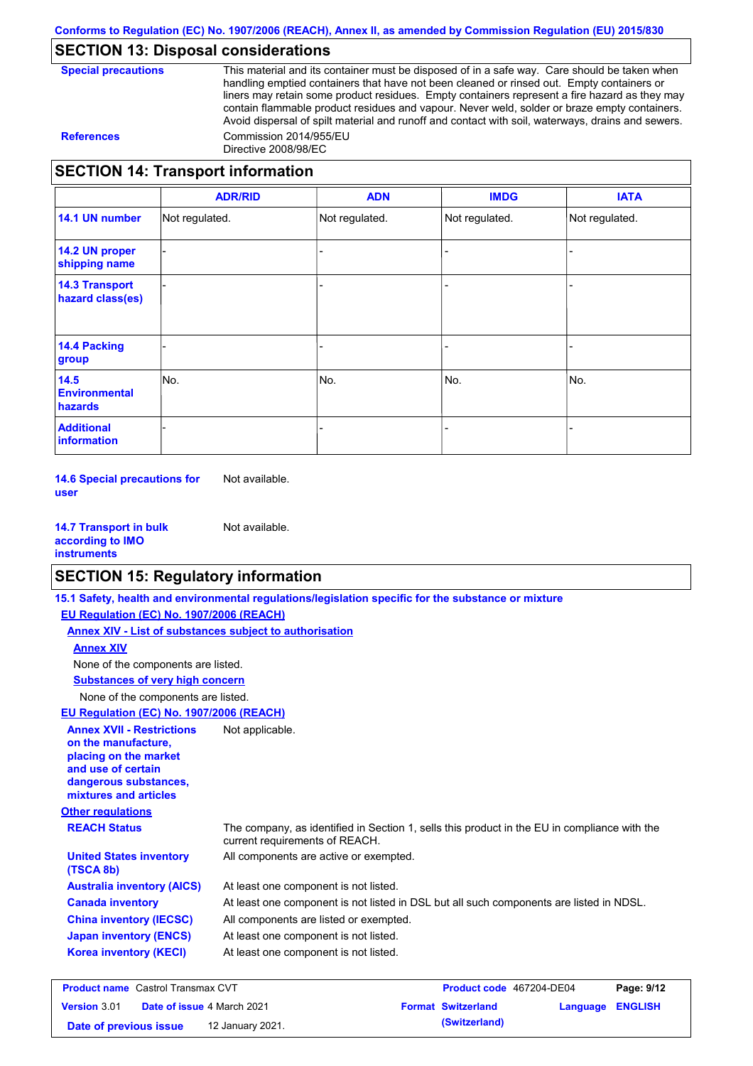# **SECTION 13: Disposal considerations**

**Special precautions** This material and its container must be disposed of in a safe way. Care should be taken when handling emptied containers that have not been cleaned or rinsed out. Empty containers or liners may retain some product residues. Empty containers represent a fire hazard as they may contain flammable product residues and vapour. Never weld, solder or braze empty containers. Avoid dispersal of spilt material and runoff and contact with soil, waterways, drains and sewers. **References** Commission 2014/955/EU Directive 2008/98/EC

## **SECTION 14: Transport information**

|                                                | <b>ADR/RID</b> | <b>ADN</b>     | <b>IMDG</b>    | <b>IATA</b>    |
|------------------------------------------------|----------------|----------------|----------------|----------------|
| 14.1 UN number                                 | Not regulated. | Not regulated. | Not regulated. | Not regulated. |
| 14.2 UN proper<br>shipping name                |                |                |                |                |
| <b>14.3 Transport</b><br>hazard class(es)      |                |                |                |                |
| <b>14.4 Packing</b><br>group                   |                |                |                |                |
| 14.5<br><b>Environmental</b><br><b>hazards</b> | No.            | No.            | No.            | No.            |
| <b>Additional</b><br>information               |                |                |                |                |

**14.6 Special precautions for user** Not available.

**14.7 Transport in bulk according to IMO instruments** Not available.

# **SECTION 15: Regulatory information**

|                                                                                                                                                          | 15.1 Safety, health and environmental regulations/legislation specific for the substance or mixture                            |                          |              |
|----------------------------------------------------------------------------------------------------------------------------------------------------------|--------------------------------------------------------------------------------------------------------------------------------|--------------------------|--------------|
| EU Regulation (EC) No. 1907/2006 (REACH)                                                                                                                 |                                                                                                                                |                          |              |
| Annex XIV - List of substances subject to authorisation                                                                                                  |                                                                                                                                |                          |              |
| <b>Annex XIV</b>                                                                                                                                         |                                                                                                                                |                          |              |
| None of the components are listed.                                                                                                                       |                                                                                                                                |                          |              |
| <b>Substances of very high concern</b>                                                                                                                   |                                                                                                                                |                          |              |
| None of the components are listed.                                                                                                                       |                                                                                                                                |                          |              |
| EU Regulation (EC) No. 1907/2006 (REACH)                                                                                                                 |                                                                                                                                |                          |              |
| <b>Annex XVII - Restrictions</b><br>on the manufacture.<br>placing on the market<br>and use of certain<br>dangerous substances,<br>mixtures and articles | Not applicable.                                                                                                                |                          |              |
| <b>Other regulations</b>                                                                                                                                 |                                                                                                                                |                          |              |
| <b>REACH Status</b>                                                                                                                                      | The company, as identified in Section 1, sells this product in the EU in compliance with the<br>current requirements of REACH. |                          |              |
| <b>United States inventory</b><br>(TSCA 8b)                                                                                                              | All components are active or exempted.                                                                                         |                          |              |
| <b>Australia inventory (AICS)</b>                                                                                                                        | At least one component is not listed.                                                                                          |                          |              |
| <b>Canada inventory</b>                                                                                                                                  | At least one component is not listed in DSL but all such components are listed in NDSL.                                        |                          |              |
| <b>China inventory (IECSC)</b>                                                                                                                           | All components are listed or exempted.                                                                                         |                          |              |
| <b>Japan inventory (ENCS)</b>                                                                                                                            | At least one component is not listed.                                                                                          |                          |              |
| <b>Korea inventory (KECI)</b>                                                                                                                            | At least one component is not listed.                                                                                          |                          |              |
| <b>Product name</b> Castrol Transmax CVT                                                                                                                 |                                                                                                                                | Product code 467204-DE04 | Page: $9/12$ |

| <b>Product name</b> Castrol Transmax CVT                 |  |                  | <b>Product code</b> 467204-DE04 |                  | Page: 9/12 |  |
|----------------------------------------------------------|--|------------------|---------------------------------|------------------|------------|--|
| <b>Date of issue 4 March 2021</b><br><b>Version</b> 3.01 |  |                  | <b>Format Switzerland</b>       | Language ENGLISH |            |  |
| Date of previous issue                                   |  | 12 January 2021. |                                 | (Switzerland)    |            |  |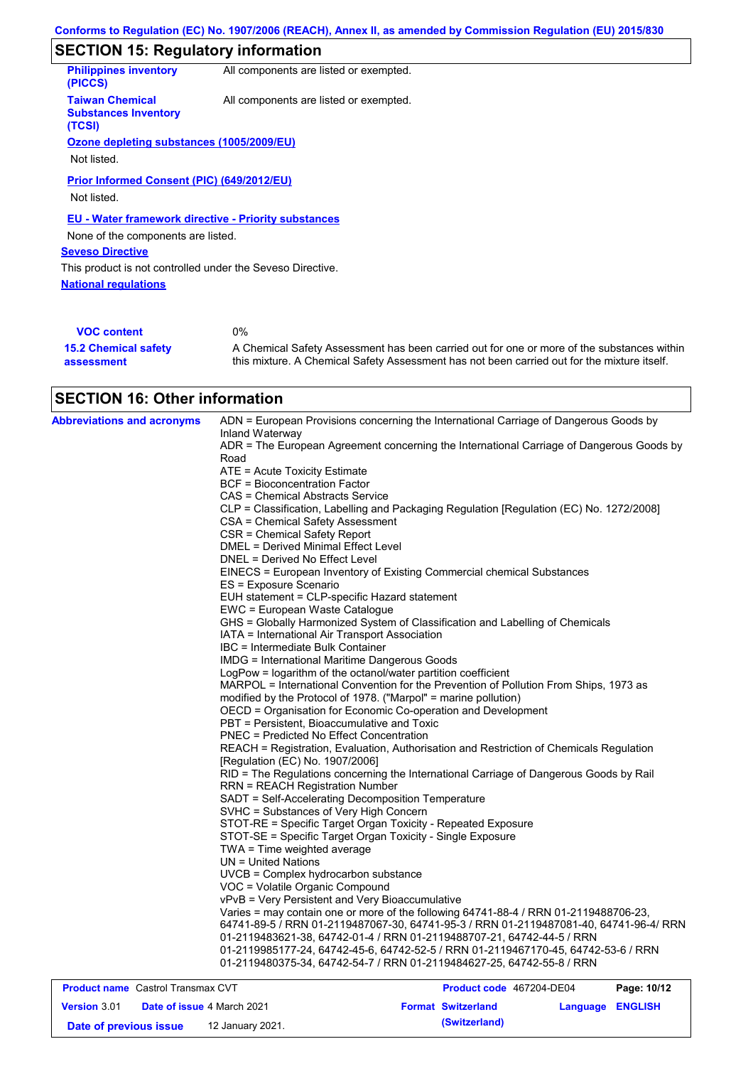# **SECTION 15: Regulatory information**

| <b>Philippines inventory</b><br>(PICCS)                         | All components are listed or exempted. |
|-----------------------------------------------------------------|----------------------------------------|
| <b>Taiwan Chemical</b><br><b>Substances Inventory</b><br>(TCSI) | All components are listed or exempted. |
| Ozone depleting substances (1005/2009/EU)                       |                                        |
| Not listed.                                                     |                                        |
| Prior Informed Consent (PIC) (649/2012/EU)                      |                                        |
| Not listed.                                                     |                                        |
| EU - Water framework directive - Priority substances            |                                        |
| None of the components are listed.                              |                                        |
| <b>Seveso Directive</b>                                         |                                        |
| This product is not controlled under the Seveso Directive.      |                                        |
| <b>National regulations</b>                                     |                                        |
|                                                                 |                                        |
| <b>VOC content</b>                                              | $0\%$                                  |

| <b>VOC content</b>          | 0%                                                                                          |
|-----------------------------|---------------------------------------------------------------------------------------------|
| <b>15.2 Chemical safety</b> | A Chemical Safety Assessment has been carried out for one or more of the substances within  |
| assessment                  | this mixture. A Chemical Safety Assessment has not been carried out for the mixture itself. |

# **SECTION 16: Other information**

| <b>Abbreviations and acronyms</b> | ADN = European Provisions concerning the International Carriage of Dangerous Goods by<br>Inland Waterway |
|-----------------------------------|----------------------------------------------------------------------------------------------------------|
|                                   | ADR = The European Agreement concerning the International Carriage of Dangerous Goods by<br>Road         |
|                                   | ATE = Acute Toxicity Estimate                                                                            |
|                                   | <b>BCF = Bioconcentration Factor</b>                                                                     |
|                                   | CAS = Chemical Abstracts Service                                                                         |
|                                   | CLP = Classification, Labelling and Packaging Regulation [Regulation (EC) No. 1272/2008]                 |
|                                   | CSA = Chemical Safety Assessment                                                                         |
|                                   | CSR = Chemical Safety Report                                                                             |
|                                   | <b>DMEL = Derived Minimal Effect Level</b>                                                               |
|                                   | DNEL = Derived No Effect Level                                                                           |
|                                   | EINECS = European Inventory of Existing Commercial chemical Substances                                   |
|                                   | ES = Exposure Scenario                                                                                   |
|                                   | EUH statement = CLP-specific Hazard statement                                                            |
|                                   | EWC = European Waste Catalogue                                                                           |
|                                   | GHS = Globally Harmonized System of Classification and Labelling of Chemicals                            |
|                                   | IATA = International Air Transport Association                                                           |
|                                   | IBC = Intermediate Bulk Container                                                                        |
|                                   | <b>IMDG = International Maritime Dangerous Goods</b>                                                     |
|                                   | LogPow = logarithm of the octanol/water partition coefficient                                            |
|                                   | MARPOL = International Convention for the Prevention of Pollution From Ships, 1973 as                    |
|                                   | modified by the Protocol of 1978. ("Marpol" = marine pollution)                                          |
|                                   | OECD = Organisation for Economic Co-operation and Development                                            |
|                                   | PBT = Persistent, Bioaccumulative and Toxic                                                              |
|                                   | <b>PNEC = Predicted No Effect Concentration</b>                                                          |
|                                   | REACH = Registration, Evaluation, Authorisation and Restriction of Chemicals Regulation                  |
|                                   | [Regulation (EC) No. 1907/2006]                                                                          |
|                                   | RID = The Regulations concerning the International Carriage of Dangerous Goods by Rail                   |
|                                   | <b>RRN = REACH Registration Number</b>                                                                   |
|                                   | SADT = Self-Accelerating Decomposition Temperature                                                       |
|                                   | SVHC = Substances of Very High Concern                                                                   |
|                                   | STOT-RE = Specific Target Organ Toxicity - Repeated Exposure                                             |
|                                   | STOT-SE = Specific Target Organ Toxicity - Single Exposure                                               |
|                                   | TWA = Time weighted average                                                                              |
|                                   | $UN = United Nations$                                                                                    |
|                                   | UVCB = Complex hydrocarbon substance                                                                     |
|                                   | VOC = Volatile Organic Compound                                                                          |
|                                   | vPvB = Very Persistent and Very Bioaccumulative                                                          |
|                                   | Varies = may contain one or more of the following 64741-88-4 / RRN 01-2119488706-23,                     |
|                                   | 64741-89-5 / RRN 01-2119487067-30, 64741-95-3 / RRN 01-2119487081-40, 64741-96-4/ RRN                    |
|                                   | 01-2119483621-38, 64742-01-4 / RRN 01-2119488707-21, 64742-44-5 / RRN                                    |
|                                   | 01-2119985177-24, 64742-45-6, 64742-52-5 / RRN 01-2119467170-45, 64742-53-6 / RRN                        |
|                                   | 01-2119480375-34, 64742-54-7 / RRN 01-2119484627-25, 64742-55-8 / RRN                                    |
|                                   |                                                                                                          |

| <b>Product name</b> Castrol Transmax CVT |                                   |                  | <b>Product code</b> 467204-DE04 |                  | Page: 10/12 |  |
|------------------------------------------|-----------------------------------|------------------|---------------------------------|------------------|-------------|--|
| <b>Version 3.01</b>                      | <b>Date of issue 4 March 2021</b> |                  | <b>Format Switzerland</b>       | Language ENGLISH |             |  |
| Date of previous issue                   |                                   | 12 January 2021. |                                 | (Switzerland)    |             |  |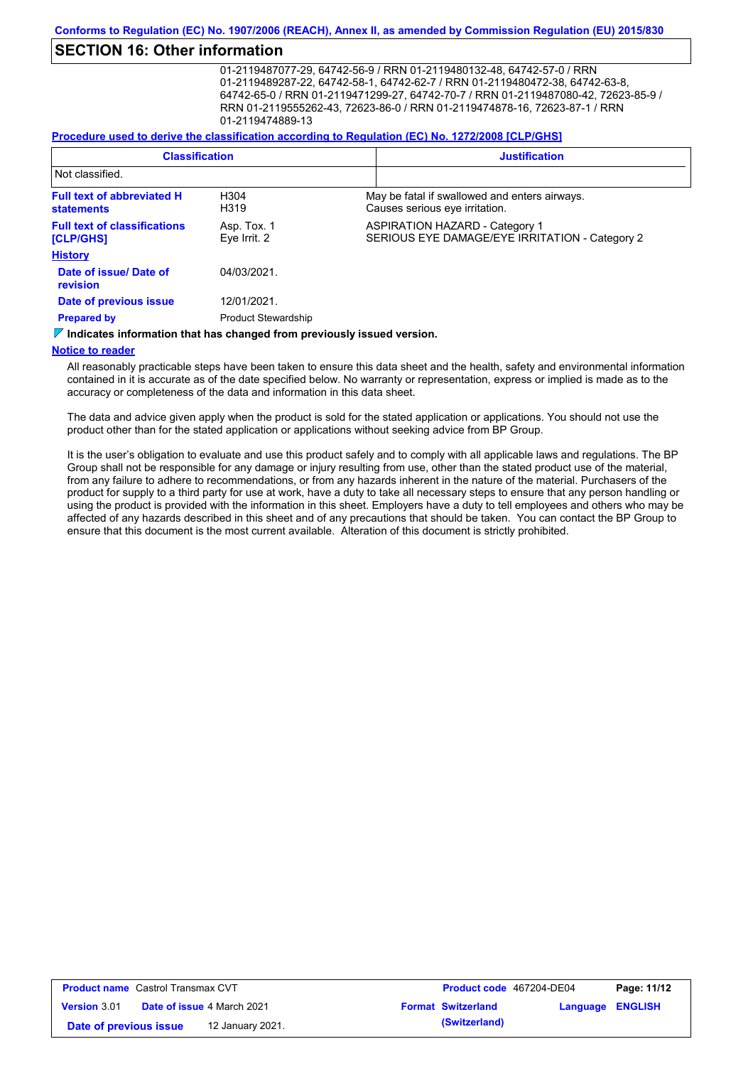# **SECTION 16: Other information**

01-2119487077-29, 64742-56-9 / RRN 01-2119480132-48, 64742-57-0 / RRN 01-2119489287-22, 64742-58-1, 64742-62-7 / RRN 01-2119480472-38, 64742-63-8, 64742-65-0 / RRN 01-2119471299-27, 64742-70-7 / RRN 01-2119487080-42, 72623-85-9 / RRN 01-2119555262-43, 72623-86-0 / RRN 01-2119474878-16, 72623-87-1 / RRN 01-2119474889-13

#### **Procedure used to derive the classification according to Regulation (EC) No. 1272/2008 [CLP/GHS]**

| <b>Classification</b>                                  |                                           | <b>Justification</b> |                                                                                         |  |
|--------------------------------------------------------|-------------------------------------------|----------------------|-----------------------------------------------------------------------------------------|--|
| Not classified.                                        |                                           |                      |                                                                                         |  |
| <b>Full text of abbreviated H</b><br><b>statements</b> | H304<br>H319                              |                      | May be fatal if swallowed and enters airways.<br>Causes serious eye irritation.         |  |
| <b>Full text of classifications</b><br>[CLP/GHS]       | Asp. Tox. 1<br>Eye Irrit. 2               |                      | <b>ASPIRATION HAZARD - Category 1</b><br>SERIOUS EYE DAMAGE/EYE IRRITATION - Category 2 |  |
| <b>History</b>                                         |                                           |                      |                                                                                         |  |
| Date of issue/Date of<br>revision                      | 04/03/2021                                |                      |                                                                                         |  |
| Date of previous issue<br><b>Prepared by</b>           | 12/01/2021.<br><b>Product Stewardship</b> |                      |                                                                                         |  |

#### $\triangledown$  **Indicates information that has changed from previously issued version.**

#### **Notice to reader**

All reasonably practicable steps have been taken to ensure this data sheet and the health, safety and environmental information contained in it is accurate as of the date specified below. No warranty or representation, express or implied is made as to the accuracy or completeness of the data and information in this data sheet.

The data and advice given apply when the product is sold for the stated application or applications. You should not use the product other than for the stated application or applications without seeking advice from BP Group.

It is the user's obligation to evaluate and use this product safely and to comply with all applicable laws and regulations. The BP Group shall not be responsible for any damage or injury resulting from use, other than the stated product use of the material, from any failure to adhere to recommendations, or from any hazards inherent in the nature of the material. Purchasers of the product for supply to a third party for use at work, have a duty to take all necessary steps to ensure that any person handling or using the product is provided with the information in this sheet. Employers have a duty to tell employees and others who may be affected of any hazards described in this sheet and of any precautions that should be taken. You can contact the BP Group to ensure that this document is the most current available. Alteration of this document is strictly prohibited.

| <b>Product name</b> Castrol Transmax CVT |                                   |  | <b>Product code</b> 467204-DE04 |                         | Page: 11/12 |
|------------------------------------------|-----------------------------------|--|---------------------------------|-------------------------|-------------|
| <b>Version 3.01</b>                      | <b>Date of issue 4 March 2021</b> |  | <b>Format Switzerland</b>       | <b>Language ENGLISH</b> |             |
| Date of previous issue                   | 12 January 2021.                  |  | (Switzerland)                   |                         |             |